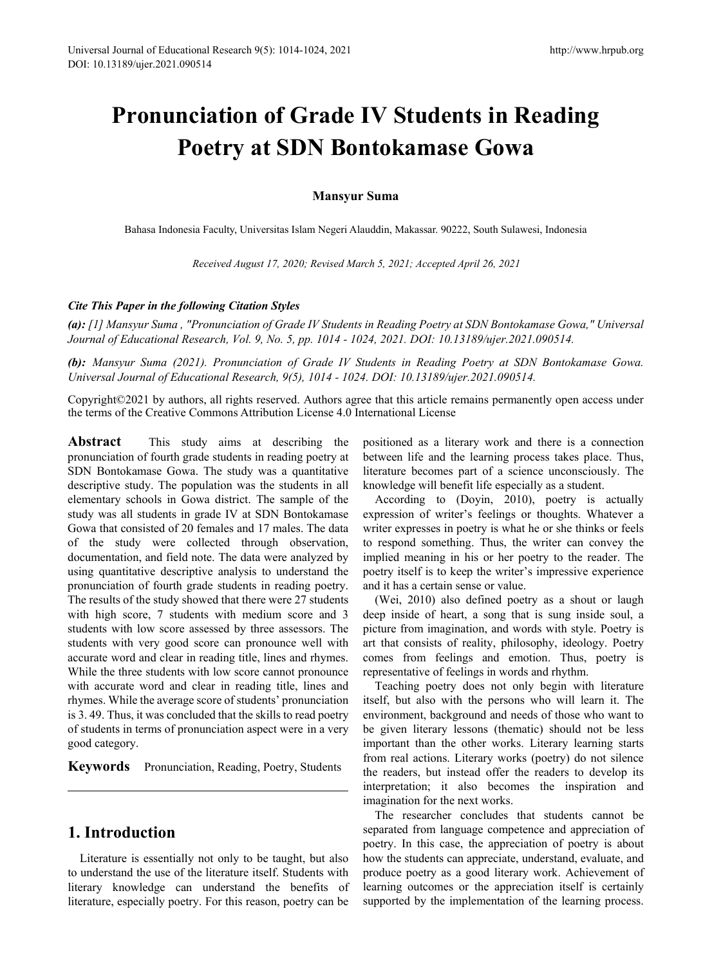# **Pronunciation of Grade IV Students in Reading Poetry at SDN Bontokamase Gowa**

#### **Mansyur Suma**

Bahasa Indonesia Faculty, Universitas Islam Negeri Alauddin, Makassar. 90222, South Sulawesi, Indonesia

*Received August 17, 2020; Revised March 5, 2021; Accepted April 26, 2021*

#### *Cite This Paper in the following Citation Styles*

*(a): [1] Mansyur Suma , "Pronunciation of Grade IV Students in Reading Poetry at SDN Bontokamase Gowa," Universal Journal of Educational Research, Vol. 9, No. 5, pp. 1014 - 1024, 2021. DOI: 10.13189/ujer.2021.090514.* 

*(b): Mansyur Suma (2021). Pronunciation of Grade IV Students in Reading Poetry at SDN Bontokamase Gowa. Universal Journal of Educational Research, 9(5), 1014 - 1024. DOI: 10.13189/ujer.2021.090514.* 

Copyright©2021 by authors, all rights reserved. Authors agree that this article remains permanently open access under the terms of the Creative Commons Attribution License 4.0 International License

**Abstract** This study aims at describing the pronunciation of fourth grade students in reading poetry at SDN Bontokamase Gowa. The study was a quantitative descriptive study. The population was the students in all elementary schools in Gowa district. The sample of the study was all students in grade IV at SDN Bontokamase Gowa that consisted of 20 females and 17 males. The data of the study were collected through observation, documentation, and field note. The data were analyzed by using quantitative descriptive analysis to understand the pronunciation of fourth grade students in reading poetry. The results of the study showed that there were 27 students with high score, 7 students with medium score and 3 students with low score assessed by three assessors. The students with very good score can pronounce well with accurate word and clear in reading title, lines and rhymes. While the three students with low score cannot pronounce with accurate word and clear in reading title, lines and rhymes. While the average score of students' pronunciation is 3. 49. Thus, it was concluded that the skills to read poetry of students in terms of pronunciation aspect were in a very good category.

**Keywords** Pronunciation, Reading, Poetry, Students

## **1. Introduction**

Literature is essentially not only to be taught, but also to understand the use of the literature itself. Students with literary knowledge can understand the benefits of literature, especially poetry. For this reason, poetry can be

positioned as a literary work and there is a connection between life and the learning process takes place. Thus, literature becomes part of a science unconsciously. The knowledge will benefit life especially as a student.

According to (Doyin, 2010), poetry is actually expression of writer's feelings or thoughts. Whatever a writer expresses in poetry is what he or she thinks or feels to respond something. Thus, the writer can convey the implied meaning in his or her poetry to the reader. The poetry itself is to keep the writer's impressive experience and it has a certain sense or value.

(Wei, 2010) also defined poetry as a shout or laugh deep inside of heart, a song that is sung inside soul, a picture from imagination, and words with style. Poetry is art that consists of reality, philosophy, ideology. Poetry comes from feelings and emotion. Thus, poetry is representative of feelings in words and rhythm.

Teaching poetry does not only begin with literature itself, but also with the persons who will learn it. The environment, background and needs of those who want to be given literary lessons (thematic) should not be less important than the other works. Literary learning starts from real actions. Literary works (poetry) do not silence the readers, but instead offer the readers to develop its interpretation; it also becomes the inspiration and imagination for the next works.

The researcher concludes that students cannot be separated from language competence and appreciation of poetry. In this case, the appreciation of poetry is about how the students can appreciate, understand, evaluate, and produce poetry as a good literary work. Achievement of learning outcomes or the appreciation itself is certainly supported by the implementation of the learning process.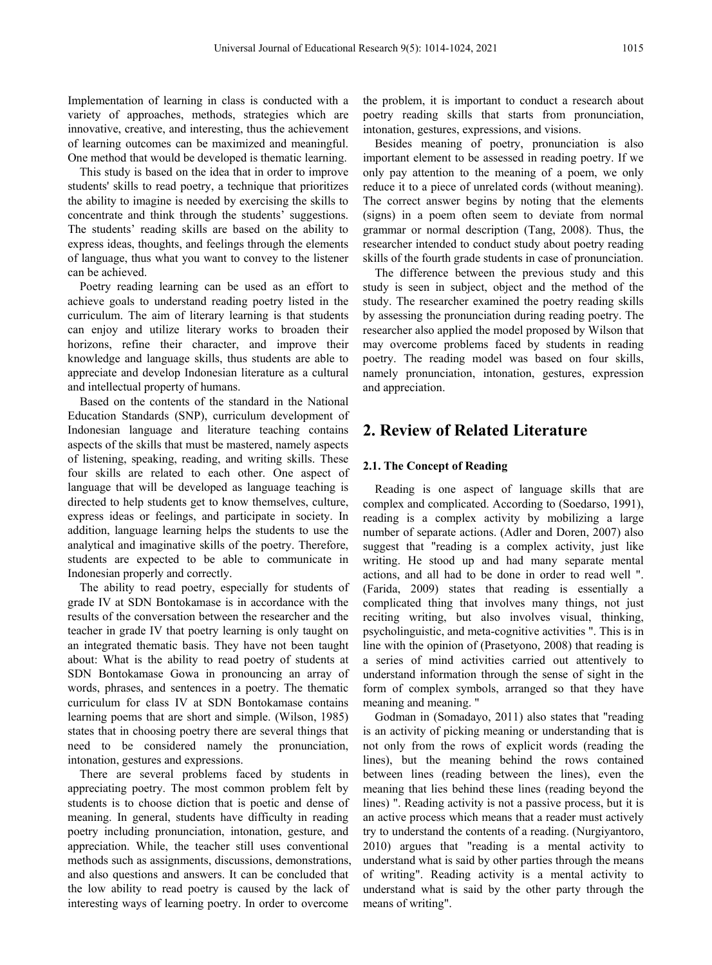Implementation of learning in class is conducted with a variety of approaches, methods, strategies which are innovative, creative, and interesting, thus the achievement of learning outcomes can be maximized and meaningful. One method that would be developed is thematic learning.

This study is based on the idea that in order to improve students' skills to read poetry, a technique that prioritizes the ability to imagine is needed by exercising the skills to concentrate and think through the students' suggestions. The students' reading skills are based on the ability to express ideas, thoughts, and feelings through the elements of language, thus what you want to convey to the listener can be achieved.

Poetry reading learning can be used as an effort to achieve goals to understand reading poetry listed in the curriculum. The aim of literary learning is that students can enjoy and utilize literary works to broaden their horizons, refine their character, and improve their knowledge and language skills, thus students are able to appreciate and develop Indonesian literature as a cultural and intellectual property of humans.

Based on the contents of the standard in the National Education Standards (SNP), curriculum development of Indonesian language and literature teaching contains aspects of the skills that must be mastered, namely aspects of listening, speaking, reading, and writing skills. These four skills are related to each other. One aspect of language that will be developed as language teaching is directed to help students get to know themselves, culture, express ideas or feelings, and participate in society. In addition, language learning helps the students to use the analytical and imaginative skills of the poetry. Therefore, students are expected to be able to communicate in Indonesian properly and correctly.

The ability to read poetry, especially for students of grade IV at SDN Bontokamase is in accordance with the results of the conversation between the researcher and the teacher in grade IV that poetry learning is only taught on an integrated thematic basis. They have not been taught about: What is the ability to read poetry of students at SDN Bontokamase Gowa in pronouncing an array of words, phrases, and sentences in a poetry. The thematic curriculum for class IV at SDN Bontokamase contains learning poems that are short and simple. (Wilson, 1985) states that in choosing poetry there are several things that need to be considered namely the pronunciation, intonation, gestures and expressions.

There are several problems faced by students in appreciating poetry. The most common problem felt by students is to choose diction that is poetic and dense of meaning. In general, students have difficulty in reading poetry including pronunciation, intonation, gesture, and appreciation. While, the teacher still uses conventional methods such as assignments, discussions, demonstrations, and also questions and answers. It can be concluded that the low ability to read poetry is caused by the lack of interesting ways of learning poetry. In order to overcome

the problem, it is important to conduct a research about poetry reading skills that starts from pronunciation, intonation, gestures, expressions, and visions.

Besides meaning of poetry, pronunciation is also important element to be assessed in reading poetry. If we only pay attention to the meaning of a poem, we only reduce it to a piece of unrelated cords (without meaning). The correct answer begins by noting that the elements (signs) in a poem often seem to deviate from normal grammar or normal description (Tang, 2008). Thus, the researcher intended to conduct study about poetry reading skills of the fourth grade students in case of pronunciation.

The difference between the previous study and this study is seen in subject, object and the method of the study. The researcher examined the poetry reading skills by assessing the pronunciation during reading poetry. The researcher also applied the model proposed by Wilson that may overcome problems faced by students in reading poetry. The reading model was based on four skills, namely pronunciation, intonation, gestures, expression and appreciation.

### **2. Review of Related Literature**

#### **2.1. The Concept of Reading**

Reading is one aspect of language skills that are complex and complicated. According to (Soedarso, 1991), reading is a complex activity by mobilizing a large number of separate actions. (Adler and Doren, 2007) also suggest that "reading is a complex activity, just like writing. He stood up and had many separate mental actions, and all had to be done in order to read well ". (Farida, 2009) states that reading is essentially a complicated thing that involves many things, not just reciting writing, but also involves visual, thinking, psycholinguistic, and meta-cognitive activities ". This is in line with the opinion of (Prasetyono, 2008) that reading is a series of mind activities carried out attentively to understand information through the sense of sight in the form of complex symbols, arranged so that they have meaning and meaning. "

Godman in (Somadayo, 2011) also states that "reading is an activity of picking meaning or understanding that is not only from the rows of explicit words (reading the lines), but the meaning behind the rows contained between lines (reading between the lines), even the meaning that lies behind these lines (reading beyond the lines) ". Reading activity is not a passive process, but it is an active process which means that a reader must actively try to understand the contents of a reading. (Nurgiyantoro, 2010) argues that "reading is a mental activity to understand what is said by other parties through the means of writing". Reading activity is a mental activity to understand what is said by the other party through the means of writing".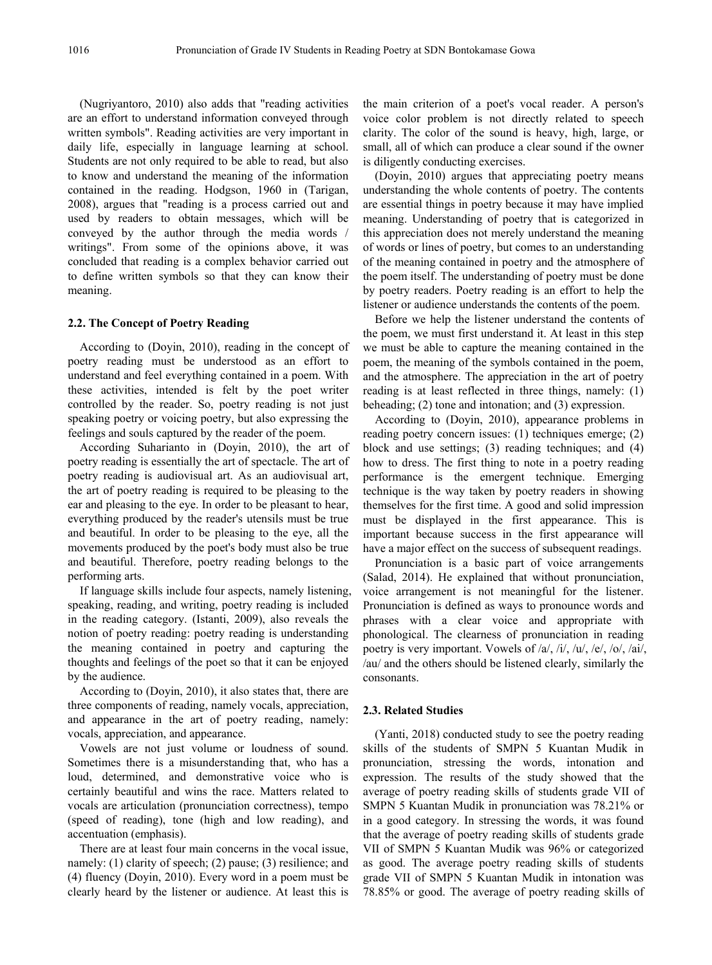(Nugriyantoro, 2010) also adds that "reading activities are an effort to understand information conveyed through written symbols". Reading activities are very important in daily life, especially in language learning at school. Students are not only required to be able to read, but also to know and understand the meaning of the information contained in the reading. Hodgson, 1960 in (Tarigan, 2008), argues that "reading is a process carried out and used by readers to obtain messages, which will be conveyed by the author through the media words / writings". From some of the opinions above, it was concluded that reading is a complex behavior carried out to define written symbols so that they can know their meaning.

#### **2.2. The Concept of Poetry Reading**

According to (Doyin, 2010), reading in the concept of poetry reading must be understood as an effort to understand and feel everything contained in a poem. With these activities, intended is felt by the poet writer controlled by the reader. So, poetry reading is not just speaking poetry or voicing poetry, but also expressing the feelings and souls captured by the reader of the poem.

According Suharianto in (Doyin, 2010), the art of poetry reading is essentially the art of spectacle. The art of poetry reading is audiovisual art. As an audiovisual art, the art of poetry reading is required to be pleasing to the ear and pleasing to the eye. In order to be pleasant to hear, everything produced by the reader's utensils must be true and beautiful. In order to be pleasing to the eye, all the movements produced by the poet's body must also be true and beautiful. Therefore, poetry reading belongs to the performing arts.

If language skills include four aspects, namely listening, speaking, reading, and writing, poetry reading is included in the reading category. (Istanti, 2009), also reveals the notion of poetry reading: poetry reading is understanding the meaning contained in poetry and capturing the thoughts and feelings of the poet so that it can be enjoyed by the audience.

According to (Doyin, 2010), it also states that, there are three components of reading, namely vocals, appreciation, and appearance in the art of poetry reading, namely: vocals, appreciation, and appearance.

Vowels are not just volume or loudness of sound. Sometimes there is a misunderstanding that, who has a loud, determined, and demonstrative voice who is certainly beautiful and wins the race. Matters related to vocals are articulation (pronunciation correctness), tempo (speed of reading), tone (high and low reading), and accentuation (emphasis).

There are at least four main concerns in the vocal issue, namely: (1) clarity of speech; (2) pause; (3) resilience; and (4) fluency (Doyin, 2010). Every word in a poem must be clearly heard by the listener or audience. At least this is the main criterion of a poet's vocal reader. A person's voice color problem is not directly related to speech clarity. The color of the sound is heavy, high, large, or small, all of which can produce a clear sound if the owner is diligently conducting exercises.

(Doyin, 2010) argues that appreciating poetry means understanding the whole contents of poetry. The contents are essential things in poetry because it may have implied meaning. Understanding of poetry that is categorized in this appreciation does not merely understand the meaning of words or lines of poetry, but comes to an understanding of the meaning contained in poetry and the atmosphere of the poem itself. The understanding of poetry must be done by poetry readers. Poetry reading is an effort to help the listener or audience understands the contents of the poem.

Before we help the listener understand the contents of the poem, we must first understand it. At least in this step we must be able to capture the meaning contained in the poem, the meaning of the symbols contained in the poem, and the atmosphere. The appreciation in the art of poetry reading is at least reflected in three things, namely: (1) beheading; (2) tone and intonation; and (3) expression.

According to (Doyin, 2010), appearance problems in reading poetry concern issues: (1) techniques emerge; (2) block and use settings; (3) reading techniques; and (4) how to dress. The first thing to note in a poetry reading performance is the emergent technique. Emerging technique is the way taken by poetry readers in showing themselves for the first time. A good and solid impression must be displayed in the first appearance. This is important because success in the first appearance will have a major effect on the success of subsequent readings.

Pronunciation is a basic part of voice arrangements (Salad, 2014). He explained that without pronunciation, voice arrangement is not meaningful for the listener. Pronunciation is defined as ways to pronounce words and phrases with a clear voice and appropriate with phonological. The clearness of pronunciation in reading poetry is very important. Vowels of /a/, /i/, /u/, /e/, /o/, /ai/, /au/ and the others should be listened clearly, similarly the consonants.

#### **2.3. Related Studies**

(Yanti, 2018) conducted study to see the poetry reading skills of the students of SMPN 5 Kuantan Mudik in pronunciation, stressing the words, intonation and expression. The results of the study showed that the average of poetry reading skills of students grade VII of SMPN 5 Kuantan Mudik in pronunciation was 78.21% or in a good category. In stressing the words, it was found that the average of poetry reading skills of students grade VII of SMPN 5 Kuantan Mudik was 96% or categorized as good. The average poetry reading skills of students grade VII of SMPN 5 Kuantan Mudik in intonation was 78.85% or good. The average of poetry reading skills of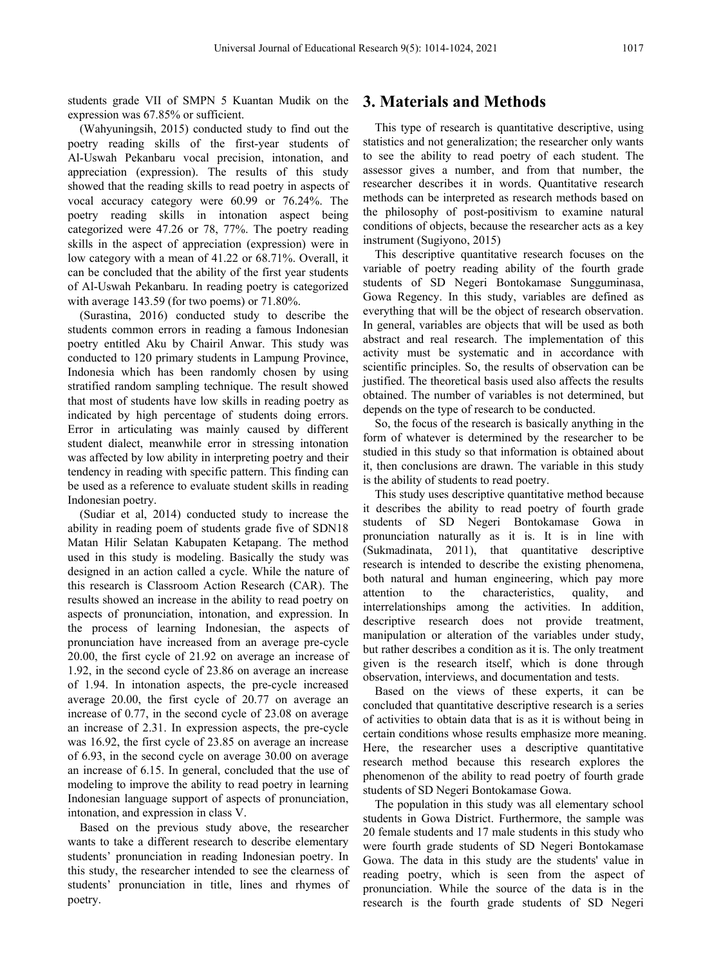students grade VII of SMPN 5 Kuantan Mudik on the expression was 67.85% or sufficient.

(Wahyuningsih, 2015) conducted study to find out the poetry reading skills of the first-year students of Al-Uswah Pekanbaru vocal precision, intonation, and appreciation (expression). The results of this study showed that the reading skills to read poetry in aspects of vocal accuracy category were 60.99 or 76.24%. The poetry reading skills in intonation aspect being categorized were 47.26 or 78, 77%. The poetry reading skills in the aspect of appreciation (expression) were in low category with a mean of 41.22 or 68.71%. Overall, it can be concluded that the ability of the first year students of Al-Uswah Pekanbaru. In reading poetry is categorized with average 143.59 (for two poems) or 71.80%.

(Surastina, 2016) conducted study to describe the students common errors in reading a famous Indonesian poetry entitled Aku by Chairil Anwar. This study was conducted to 120 primary students in Lampung Province, Indonesia which has been randomly chosen by using stratified random sampling technique. The result showed that most of students have low skills in reading poetry as indicated by high percentage of students doing errors. Error in articulating was mainly caused by different student dialect, meanwhile error in stressing intonation was affected by low ability in interpreting poetry and their tendency in reading with specific pattern. This finding can be used as a reference to evaluate student skills in reading Indonesian poetry.

(Sudiar et al, 2014) conducted study to increase the ability in reading poem of students grade five of SDN18 Matan Hilir Selatan Kabupaten Ketapang. The method used in this study is modeling. Basically the study was designed in an action called a cycle. While the nature of this research is Classroom Action Research (CAR). The results showed an increase in the ability to read poetry on aspects of pronunciation, intonation, and expression. In the process of learning Indonesian, the aspects of pronunciation have increased from an average pre-cycle 20.00, the first cycle of 21.92 on average an increase of 1.92, in the second cycle of 23.86 on average an increase of 1.94. In intonation aspects, the pre-cycle increased average 20.00, the first cycle of 20.77 on average an increase of 0.77, in the second cycle of 23.08 on average an increase of 2.31. In expression aspects, the pre-cycle was 16.92, the first cycle of 23.85 on average an increase of 6.93, in the second cycle on average 30.00 on average an increase of 6.15. In general, concluded that the use of modeling to improve the ability to read poetry in learning Indonesian language support of aspects of pronunciation, intonation, and expression in class V.

Based on the previous study above, the researcher wants to take a different research to describe elementary students' pronunciation in reading Indonesian poetry. In this study, the researcher intended to see the clearness of students' pronunciation in title, lines and rhymes of poetry.

## **3. Materials and Methods**

This type of research is quantitative descriptive, using statistics and not generalization; the researcher only wants to see the ability to read poetry of each student. The assessor gives a number, and from that number, the researcher describes it in words. Quantitative research methods can be interpreted as research methods based on the philosophy of post-positivism to examine natural conditions of objects, because the researcher acts as a key instrument (Sugiyono, 2015)

This descriptive quantitative research focuses on the variable of poetry reading ability of the fourth grade students of SD Negeri Bontokamase Sungguminasa, Gowa Regency. In this study, variables are defined as everything that will be the object of research observation. In general, variables are objects that will be used as both abstract and real research. The implementation of this activity must be systematic and in accordance with scientific principles. So, the results of observation can be justified. The theoretical basis used also affects the results obtained. The number of variables is not determined, but depends on the type of research to be conducted.

So, the focus of the research is basically anything in the form of whatever is determined by the researcher to be studied in this study so that information is obtained about it, then conclusions are drawn. The variable in this study is the ability of students to read poetry.

This study uses descriptive quantitative method because it describes the ability to read poetry of fourth grade students of SD Negeri Bontokamase Gowa in pronunciation naturally as it is. It is in line with (Sukmadinata, 2011), that quantitative descriptive research is intended to describe the existing phenomena, both natural and human engineering, which pay more attention to the characteristics, quality, and interrelationships among the activities. In addition, descriptive research does not provide treatment, manipulation or alteration of the variables under study, but rather describes a condition as it is. The only treatment given is the research itself, which is done through observation, interviews, and documentation and tests.

Based on the views of these experts, it can be concluded that quantitative descriptive research is a series of activities to obtain data that is as it is without being in certain conditions whose results emphasize more meaning. Here, the researcher uses a descriptive quantitative research method because this research explores the phenomenon of the ability to read poetry of fourth grade students of SD Negeri Bontokamase Gowa.

The population in this study was all elementary school students in Gowa District. Furthermore, the sample was 20 female students and 17 male students in this study who were fourth grade students of SD Negeri Bontokamase Gowa. The data in this study are the students' value in reading poetry, which is seen from the aspect of pronunciation. While the source of the data is in the research is the fourth grade students of SD Negeri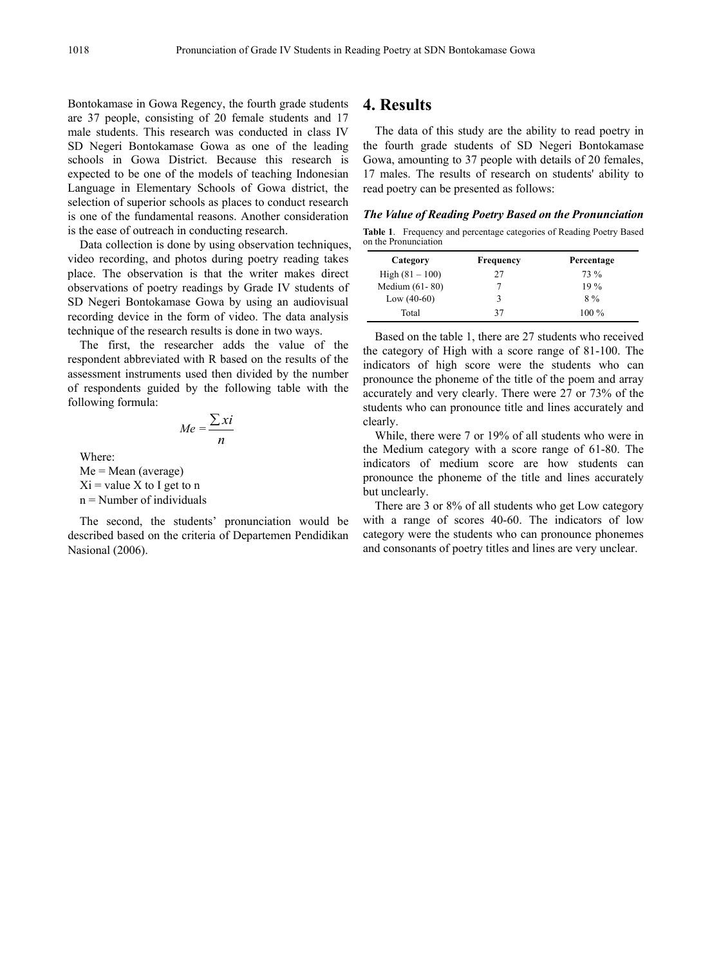Bontokamase in Gowa Regency, the fourth grade students are 37 people, consisting of 20 female students and 17 male students. This research was conducted in class IV SD Negeri Bontokamase Gowa as one of the leading schools in Gowa District. Because this research is expected to be one of the models of teaching Indonesian Language in Elementary Schools of Gowa district, the selection of superior schools as places to conduct research is one of the fundamental reasons. Another consideration is the ease of outreach in conducting research.

Data collection is done by using observation techniques, video recording, and photos during poetry reading takes place. The observation is that the writer makes direct observations of poetry readings by Grade IV students of SD Negeri Bontokamase Gowa by using an audiovisual recording device in the form of video. The data analysis technique of the research results is done in two ways.

The first, the researcher adds the value of the respondent abbreviated with R based on the results of the assessment instruments used then divided by the number of respondents guided by the following table with the following formula:

$$
Me = \frac{\sum x i}{n}
$$

Where:

 $Me = Mean (average)$  $Xi =$  value X to I get to n  $n =$  Number of individuals

The second, the students' pronunciation would be described based on the criteria of Departemen Pendidikan Nasional (2006).

### **4. Results**

The data of this study are the ability to read poetry in the fourth grade students of SD Negeri Bontokamase Gowa, amounting to 37 people with details of 20 females, 17 males. The results of research on students' ability to read poetry can be presented as follows:

*The Value of Reading Poetry Based on the Pronunciation*

**Table 1**. Frequency and percentage categories of Reading Poetry Based on the Pronunciation

| Category          | Frequency | Percentage |  |
|-------------------|-----------|------------|--|
| High $(81 - 100)$ | 27        | 73 %       |  |
| Medium $(61-80)$  |           | $19\%$     |  |
| Low $(40-60)$     | 3         | $8\%$      |  |
| Total             | 37        | $100\%$    |  |

Based on the table 1, there are 27 students who received the category of High with a score range of 81-100. The indicators of high score were the students who can pronounce the phoneme of the title of the poem and array accurately and very clearly. There were 27 or 73% of the students who can pronounce title and lines accurately and clearly.

While, there were 7 or 19% of all students who were in the Medium category with a score range of 61-80. The indicators of medium score are how students can pronounce the phoneme of the title and lines accurately but unclearly.

There are 3 or 8% of all students who get Low category with a range of scores 40-60. The indicators of low category were the students who can pronounce phonemes and consonants of poetry titles and lines are very unclear.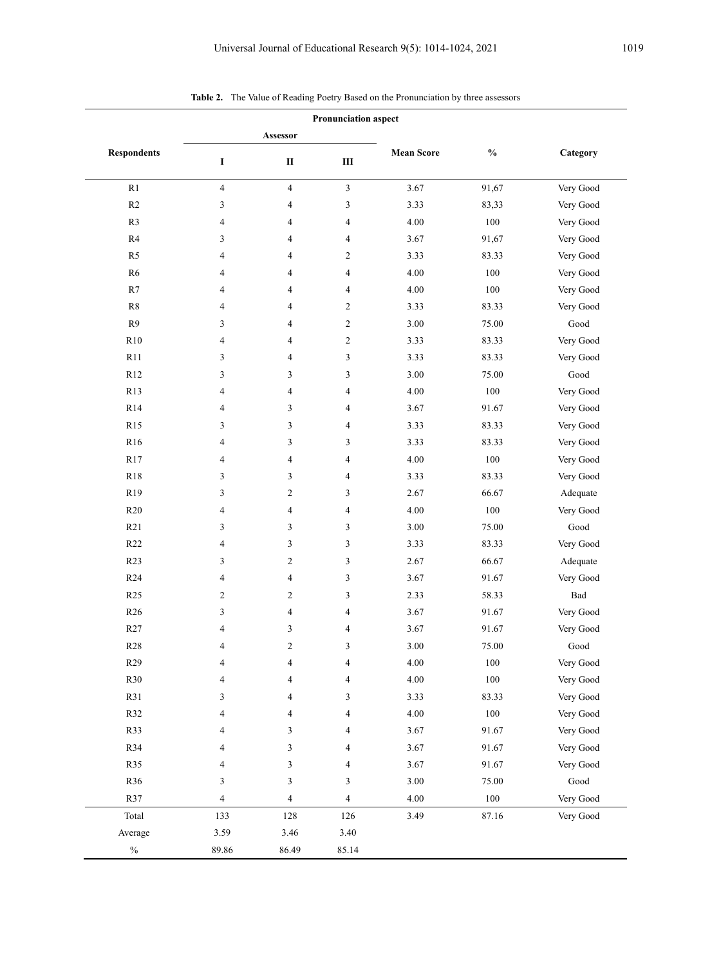|                    | $\checkmark$<br><b>Pronunciation aspect</b> |                          |                          |                   |                |                       |  |
|--------------------|---------------------------------------------|--------------------------|--------------------------|-------------------|----------------|-----------------------|--|
|                    |                                             | Assessor                 |                          |                   |                |                       |  |
| <b>Respondents</b> | I                                           | $\rm II$                 | Ш                        | <b>Mean Score</b> | $\mathbf{O}_0$ | Category              |  |
| R1                 | $\overline{4}$                              | $\overline{\mathcal{L}}$ | $\mathfrak{Z}$           | 3.67              | 91,67          | Very Good             |  |
| R2                 | 3                                           | 4                        | 3                        | 3.33              | 83,33          | Very Good             |  |
| R3                 | $\overline{4}$                              | 4                        | 4                        | 4.00              | 100            | Very Good             |  |
| R4                 | 3                                           | 4                        | 4                        | 3.67              | 91,67          | Very Good             |  |
| R <sub>5</sub>     | $\overline{4}$                              | 4                        | $\overline{c}$           | 3.33              | 83.33          | Very Good             |  |
| R <sub>6</sub>     | 4                                           | 4                        | 4                        | 4.00              | 100            | Very Good             |  |
| R7                 | 4                                           | 4                        | 4                        | 4.00              | 100            | Very Good             |  |
| R8                 | $\overline{4}$                              | 4                        | $\overline{c}$           | 3.33              | 83.33          | Very Good             |  |
| R9                 | 3                                           | 4                        | $\sqrt{2}$               | 3.00              | 75.00          | $\operatorname{Good}$ |  |
| R10                | 4                                           | 4                        | $\overline{c}$           | 3.33              | 83.33          | Very Good             |  |
| R11                | 3                                           | 4                        | 3                        | 3.33              | 83.33          | Very Good             |  |
| R12                | 3                                           | 3                        | 3                        | 3.00              | 75.00          | Good                  |  |
| R13                | $\overline{4}$                              | 4                        | 4                        | 4.00              | 100            | Very Good             |  |
| R14                | 4                                           | 3                        | 4                        | 3.67              | 91.67          | Very Good             |  |
| R15                | 3                                           | 3                        | 4                        | 3.33              | 83.33          | Very Good             |  |
| R16                | 4                                           | 3                        | 3                        | 3.33              | 83.33          | Very Good             |  |
| R17                | 4                                           | 4                        | 4                        | 4.00              | 100            | Very Good             |  |
| R18                | 3                                           | 3                        | 4                        | 3.33              | 83.33          | Very Good             |  |
| R19                | 3                                           | 2                        | 3                        | 2.67              | 66.67          | Adequate              |  |
| R20                | $\overline{4}$                              | 4                        | 4                        | 4.00              | 100            | Very Good             |  |
| R21                | 3                                           | 3                        | 3                        | $3.00\,$          | 75.00          | Good                  |  |
| R22                | $\overline{4}$                              | 3                        | 3                        | 3.33              | 83.33          | Very Good             |  |
| R23                | 3                                           | 2                        | 3                        | 2.67              | 66.67          | Adequate              |  |
| R <sub>24</sub>    | $\overline{4}$                              | 4                        | 3                        | 3.67              | 91.67          | Very Good             |  |
| R <sub>25</sub>    | 2                                           | 2                        | 3                        | 2.33              | 58.33          | Bad                   |  |
| R26                | 3                                           | 4                        | 4                        | 3.67              | 91.67          | Very Good             |  |
| R27                | $\overline{4}$                              | 3                        | 4                        | 3.67              | 91.67          | Very Good             |  |
| R28                | 4                                           | $\boldsymbol{2}$         | $\sqrt{3}$               | $3.00\,$          | 75.00          | Good                  |  |
| R29                | 4                                           | 4                        | $\overline{\mathcal{A}}$ | 4.00              | $100\,$        | Very Good             |  |
| R30                | 4                                           | 4                        | 4                        | 4.00              | 100            | Very Good             |  |
| R31                | 3                                           | 4                        | 3                        | 3.33              | 83.33          | Very Good             |  |
| R32                | 4                                           | 4                        | 4                        | 4.00              | 100            | Very Good             |  |
| R33                | 4                                           | 3                        | 4                        | 3.67              | 91.67          | Very Good             |  |
| R34                | 4                                           | 3                        | 4                        | 3.67              | 91.67          | Very Good             |  |
| R35                | 4                                           | 3                        | 4                        | 3.67              | 91.67          | Very Good             |  |
| R36                | 3                                           | 3                        | 3                        | $3.00\,$          | 75.00          | $\operatorname{Good}$ |  |
| R37                | $\overline{\mathcal{A}}$                    | 4                        | 4                        | 4.00              | 100            | Very Good             |  |
| Total              | 133                                         | 128                      | 126                      | 3.49              | 87.16          | Very Good             |  |
| Average            | 3.59                                        | 3.46                     | 3.40                     |                   |                |                       |  |
| $\%$               | 89.86                                       | 86.49                    | 85.14                    |                   |                |                       |  |

**Table 2.** The Value of Reading Poetry Based on the Pronunciation by three assessors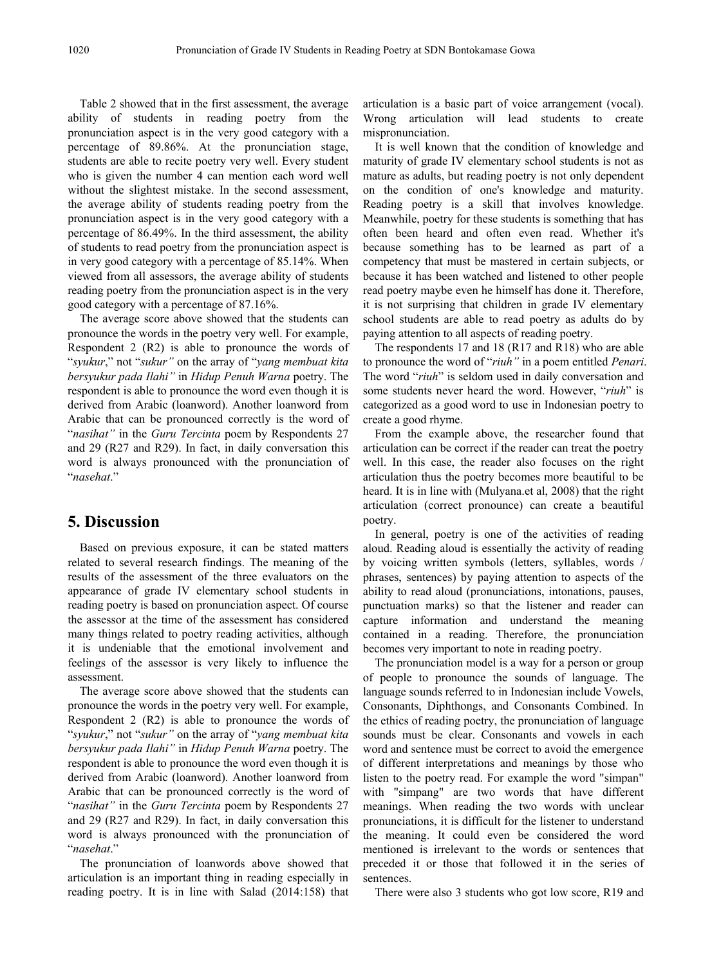Table 2 showed that in the first assessment, the average ability of students in reading poetry from the pronunciation aspect is in the very good category with a percentage of 89.86%. At the pronunciation stage, students are able to recite poetry very well. Every student who is given the number 4 can mention each word well without the slightest mistake. In the second assessment, the average ability of students reading poetry from the pronunciation aspect is in the very good category with a percentage of 86.49%. In the third assessment, the ability of students to read poetry from the pronunciation aspect is in very good category with a percentage of 85.14%. When viewed from all assessors, the average ability of students reading poetry from the pronunciation aspect is in the very good category with a percentage of 87.16%.

The average score above showed that the students can pronounce the words in the poetry very well. For example, Respondent 2 (R2) is able to pronounce the words of "*syukur*," not "*sukur"* on the array of "*yang membuat kita bersyukur pada Ilahi"* in *Hidup Penuh Warna* poetry. The respondent is able to pronounce the word even though it is derived from Arabic (loanword). Another loanword from Arabic that can be pronounced correctly is the word of "*nasihat"* in the *Guru Tercinta* poem by Respondents 27 and 29 (R27 and R29). In fact, in daily conversation this word is always pronounced with the pronunciation of "*nasehat*."

## **5. Discussion**

Based on previous exposure, it can be stated matters related to several research findings. The meaning of the results of the assessment of the three evaluators on the appearance of grade IV elementary school students in reading poetry is based on pronunciation aspect. Of course the assessor at the time of the assessment has considered many things related to poetry reading activities, although it is undeniable that the emotional involvement and feelings of the assessor is very likely to influence the assessment.

The average score above showed that the students can pronounce the words in the poetry very well. For example, Respondent 2 (R2) is able to pronounce the words of "*syukur*," not "*sukur"* on the array of "*yang membuat kita bersyukur pada Ilahi"* in *Hidup Penuh Warna* poetry. The respondent is able to pronounce the word even though it is derived from Arabic (loanword). Another loanword from Arabic that can be pronounced correctly is the word of "*nasihat"* in the *Guru Tercinta* poem by Respondents 27 and 29 (R27 and R29). In fact, in daily conversation this word is always pronounced with the pronunciation of "*nasehat*."

The pronunciation of loanwords above showed that articulation is an important thing in reading especially in reading poetry. It is in line with Salad (2014:158) that articulation is a basic part of voice arrangement (vocal). Wrong articulation will lead students to create mispronunciation.

It is well known that the condition of knowledge and maturity of grade IV elementary school students is not as mature as adults, but reading poetry is not only dependent on the condition of one's knowledge and maturity. Reading poetry is a skill that involves knowledge. Meanwhile, poetry for these students is something that has often been heard and often even read. Whether it's because something has to be learned as part of a competency that must be mastered in certain subjects, or because it has been watched and listened to other people read poetry maybe even he himself has done it. Therefore, it is not surprising that children in grade IV elementary school students are able to read poetry as adults do by paying attention to all aspects of reading poetry.

The respondents 17 and 18 (R17 and R18) who are able to pronounce the word of "*riuh"* in a poem entitled *Penari*. The word "*riuh*" is seldom used in daily conversation and some students never heard the word. However, "*riuh*" is categorized as a good word to use in Indonesian poetry to create a good rhyme.

From the example above, the researcher found that articulation can be correct if the reader can treat the poetry well. In this case, the reader also focuses on the right articulation thus the poetry becomes more beautiful to be heard. It is in line with (Mulyana.et al, 2008) that the right articulation (correct pronounce) can create a beautiful poetry.

In general, poetry is one of the activities of reading aloud. Reading aloud is essentially the activity of reading by voicing written symbols (letters, syllables, words / phrases, sentences) by paying attention to aspects of the ability to read aloud (pronunciations, intonations, pauses, punctuation marks) so that the listener and reader can capture information and understand the meaning contained in a reading. Therefore, the pronunciation becomes very important to note in reading poetry.

The pronunciation model is a way for a person or group of people to pronounce the sounds of language. The language sounds referred to in Indonesian include Vowels, Consonants, Diphthongs, and Consonants Combined. In the ethics of reading poetry, the pronunciation of language sounds must be clear. Consonants and vowels in each word and sentence must be correct to avoid the emergence of different interpretations and meanings by those who listen to the poetry read. For example the word "simpan" with "simpang" are two words that have different meanings. When reading the two words with unclear pronunciations, it is difficult for the listener to understand the meaning. It could even be considered the word mentioned is irrelevant to the words or sentences that preceded it or those that followed it in the series of sentences.

There were also 3 students who got low score, R19 and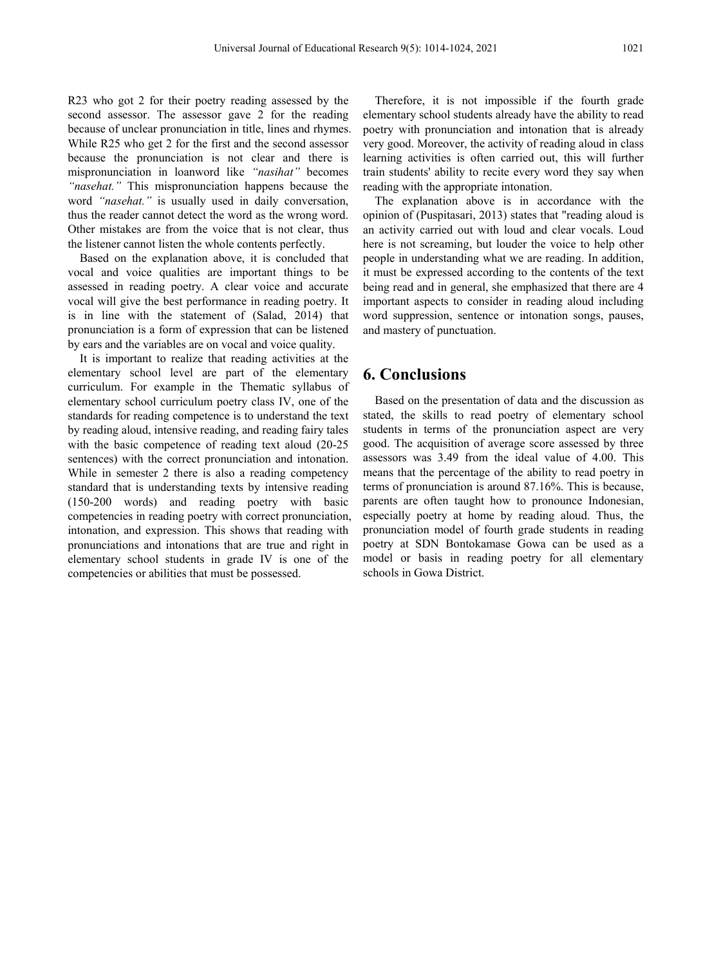R23 who got 2 for their poetry reading assessed by the second assessor. The assessor gave 2 for the reading because of unclear pronunciation in title, lines and rhymes. While R25 who get 2 for the first and the second assessor because the pronunciation is not clear and there is mispronunciation in loanword like *"nasihat"* becomes *"nasehat."* This mispronunciation happens because the word *"nasehat."* is usually used in daily conversation, thus the reader cannot detect the word as the wrong word. Other mistakes are from the voice that is not clear, thus the listener cannot listen the whole contents perfectly.

Based on the explanation above, it is concluded that vocal and voice qualities are important things to be assessed in reading poetry. A clear voice and accurate vocal will give the best performance in reading poetry. It is in line with the statement of (Salad, 2014) that pronunciation is a form of expression that can be listened by ears and the variables are on vocal and voice quality.

It is important to realize that reading activities at the elementary school level are part of the elementary curriculum. For example in the Thematic syllabus of elementary school curriculum poetry class IV, one of the standards for reading competence is to understand the text by reading aloud, intensive reading, and reading fairy tales with the basic competence of reading text aloud (20-25 sentences) with the correct pronunciation and intonation. While in semester 2 there is also a reading competency standard that is understanding texts by intensive reading (150-200 words) and reading poetry with basic competencies in reading poetry with correct pronunciation, intonation, and expression. This shows that reading with pronunciations and intonations that are true and right in elementary school students in grade IV is one of the competencies or abilities that must be possessed.

Therefore, it is not impossible if the fourth grade elementary school students already have the ability to read poetry with pronunciation and intonation that is already very good. Moreover, the activity of reading aloud in class learning activities is often carried out, this will further train students' ability to recite every word they say when reading with the appropriate intonation.

The explanation above is in accordance with the opinion of (Puspitasari, 2013) states that "reading aloud is an activity carried out with loud and clear vocals. Loud here is not screaming, but louder the voice to help other people in understanding what we are reading. In addition, it must be expressed according to the contents of the text being read and in general, she emphasized that there are 4 important aspects to consider in reading aloud including word suppression, sentence or intonation songs, pauses, and mastery of punctuation.

## **6. Conclusions**

Based on the presentation of data and the discussion as stated, the skills to read poetry of elementary school students in terms of the pronunciation aspect are very good. The acquisition of average score assessed by three assessors was 3.49 from the ideal value of 4.00. This means that the percentage of the ability to read poetry in terms of pronunciation is around 87.16%. This is because, parents are often taught how to pronounce Indonesian, especially poetry at home by reading aloud. Thus, the pronunciation model of fourth grade students in reading poetry at SDN Bontokamase Gowa can be used as a model or basis in reading poetry for all elementary schools in Gowa District.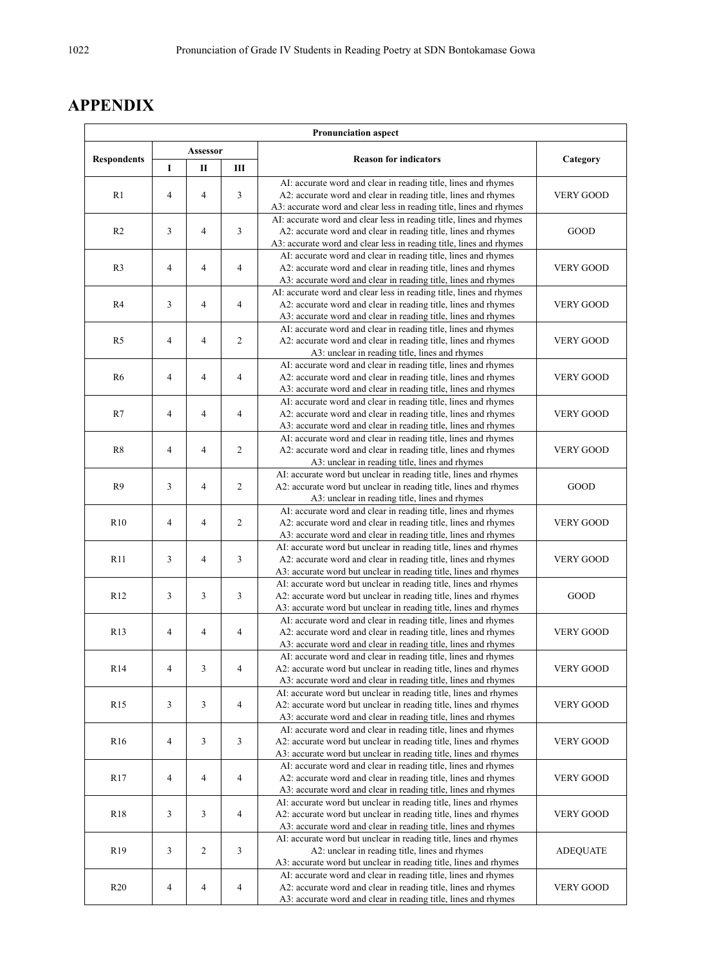## **APPENDIX**

| <b>Pronunciation aspect</b>                              |                          |                |                |                                                                                                                                                                                                          |                  |                                                                                                                                       |      |
|----------------------------------------------------------|--------------------------|----------------|----------------|----------------------------------------------------------------------------------------------------------------------------------------------------------------------------------------------------------|------------------|---------------------------------------------------------------------------------------------------------------------------------------|------|
| Assessor<br><b>Respondents</b><br>L<br>$\mathbf{I}$<br>Ш |                          |                |                | <b>Reason for indicators</b>                                                                                                                                                                             | Category         |                                                                                                                                       |      |
|                                                          |                          |                |                |                                                                                                                                                                                                          |                  |                                                                                                                                       |      |
| R1                                                       | $\overline{4}$<br>4<br>3 |                |                | AI: accurate word and clear in reading title, lines and rhymes<br>A2: accurate word and clear in reading title, lines and rhymes                                                                         | <b>VERY GOOD</b> |                                                                                                                                       |      |
|                                                          |                          | 3<br>3<br>4    |                | A3: accurate word and clear less in reading title, lines and rhymes<br>AI: accurate word and clear less in reading title, lines and rhymes                                                               |                  |                                                                                                                                       |      |
| R <sub>2</sub>                                           |                          |                |                |                                                                                                                                                                                                          |                  | A2: accurate word and clear in reading title, lines and rhymes<br>A3: accurate word and clear less in reading title, lines and rhymes | GOOD |
| R <sub>3</sub>                                           | $\overline{4}$           | 4              | $\overline{4}$ | AI: accurate word and clear in reading title, lines and rhymes<br>A2: accurate word and clear in reading title, lines and rhymes<br>A3: accurate word and clear in reading title, lines and rhymes       | <b>VERY GOOD</b> |                                                                                                                                       |      |
| R <sub>4</sub>                                           | 3                        | $\overline{4}$ | $\overline{4}$ | AI: accurate word and clear less in reading title, lines and rhymes<br>A2: accurate word and clear in reading title, lines and rhymes<br>A3: accurate word and clear in reading title, lines and rhymes  | <b>VERY GOOD</b> |                                                                                                                                       |      |
| R <sub>5</sub>                                           | $\overline{4}$           | $\overline{4}$ | $\overline{c}$ | AI: accurate word and clear in reading title, lines and rhymes<br>A2: accurate word and clear in reading title, lines and rhymes<br>A3: unclear in reading title, lines and rhymes                       | <b>VERY GOOD</b> |                                                                                                                                       |      |
| R <sub>6</sub>                                           | $\overline{4}$           | $\overline{4}$ | $\overline{4}$ | AI: accurate word and clear in reading title, lines and rhymes<br>A2: accurate word and clear in reading title, lines and rhymes<br>A3: accurate word and clear in reading title, lines and rhymes       | <b>VERY GOOD</b> |                                                                                                                                       |      |
| R7                                                       | $\overline{4}$           | 4              | $\overline{4}$ | AI: accurate word and clear in reading title, lines and rhymes<br>A2: accurate word and clear in reading title, lines and rhymes<br>A3: accurate word and clear in reading title, lines and rhymes       | <b>VERY GOOD</b> |                                                                                                                                       |      |
| R8                                                       | $\overline{4}$           | 4              | $\overline{2}$ | AI: accurate word and clear in reading title, lines and rhymes<br>A2: accurate word and clear in reading title, lines and rhymes<br>A3: unclear in reading title, lines and rhymes                       | <b>VERY GOOD</b> |                                                                                                                                       |      |
| R <sub>9</sub>                                           | 3                        | 4              | $\overline{c}$ | AI: accurate word but unclear in reading title, lines and rhymes<br>A2: accurate word but unclear in reading title, lines and rhymes<br>A3: unclear in reading title, lines and rhymes                   | GOOD             |                                                                                                                                       |      |
| R10                                                      | $\overline{4}$           | 4              | $\overline{c}$ | AI: accurate word and clear in reading title, lines and rhymes<br>A2: accurate word and clear in reading title, lines and rhymes<br>A3: accurate word and clear in reading title, lines and rhymes       | <b>VERY GOOD</b> |                                                                                                                                       |      |
| R <sub>11</sub>                                          | 3                        | 4              | 3              | AI: accurate word but unclear in reading title, lines and rhymes<br>A2: accurate word and clear in reading title, lines and rhymes<br>A3: accurate word but unclear in reading title, lines and rhymes   | <b>VERY GOOD</b> |                                                                                                                                       |      |
| R12                                                      | 3                        | 3              | 3              | AI: accurate word but unclear in reading title, lines and rhymes<br>A2: accurate word but unclear in reading title, lines and rhymes<br>A3: accurate word but unclear in reading title, lines and rhymes | GOOD             |                                                                                                                                       |      |
| R <sub>13</sub>                                          | $\overline{4}$           | 4              | $\overline{4}$ | AI: accurate word and clear in reading title, lines and rhymes<br>A2: accurate word and clear in reading title, lines and rhymes<br>A3: accurate word and clear in reading title, lines and rhymes       | <b>VERY GOOD</b> |                                                                                                                                       |      |
| R <sub>14</sub>                                          | $\overline{4}$           | 3              | $\overline{4}$ | AI: accurate word and clear in reading title, lines and rhymes<br>A2: accurate word but unclear in reading title, lines and rhymes<br>A3: accurate word and clear in reading title, lines and rhymes     | <b>VERY GOOD</b> |                                                                                                                                       |      |
| R <sub>15</sub>                                          | 3                        | 3              | $\overline{4}$ | AI: accurate word but unclear in reading title, lines and rhymes<br>A2: accurate word but unclear in reading title, lines and rhymes<br>A3: accurate word and clear in reading title, lines and rhymes   | <b>VERY GOOD</b> |                                                                                                                                       |      |
| R <sub>16</sub>                                          | $\overline{4}$           | 3              | 3              | AI: accurate word and clear in reading title, lines and rhymes<br>A2: accurate word but unclear in reading title, lines and rhymes<br>A3: accurate word but unclear in reading title, lines and rhymes   | <b>VERY GOOD</b> |                                                                                                                                       |      |
| R <sub>17</sub>                                          | 4                        | 4              | $\overline{4}$ | AI: accurate word and clear in reading title, lines and rhymes<br>A2: accurate word and clear in reading title, lines and rhymes<br>A3: accurate word and clear in reading title, lines and rhymes       | <b>VERY GOOD</b> |                                                                                                                                       |      |
| R18                                                      | 3                        | 3              | $\overline{4}$ | AI: accurate word but unclear in reading title, lines and rhymes<br>A2: accurate word but unclear in reading title, lines and rhymes<br>A3: accurate word and clear in reading title, lines and rhymes   | <b>VERY GOOD</b> |                                                                                                                                       |      |
| R <sub>19</sub>                                          | 3                        | 2              | 3              | AI: accurate word but unclear in reading title, lines and rhymes<br>A2: unclear in reading title, lines and rhymes<br>A3: accurate word but unclear in reading title, lines and rhymes                   | <b>ADEQUATE</b>  |                                                                                                                                       |      |
| R <sub>20</sub>                                          | $\overline{4}$           | 4              | 4              | AI: accurate word and clear in reading title, lines and rhymes<br>A2: accurate word and clear in reading title, lines and rhymes<br>A3: accurate word and clear in reading title, lines and rhymes       | <b>VERY GOOD</b> |                                                                                                                                       |      |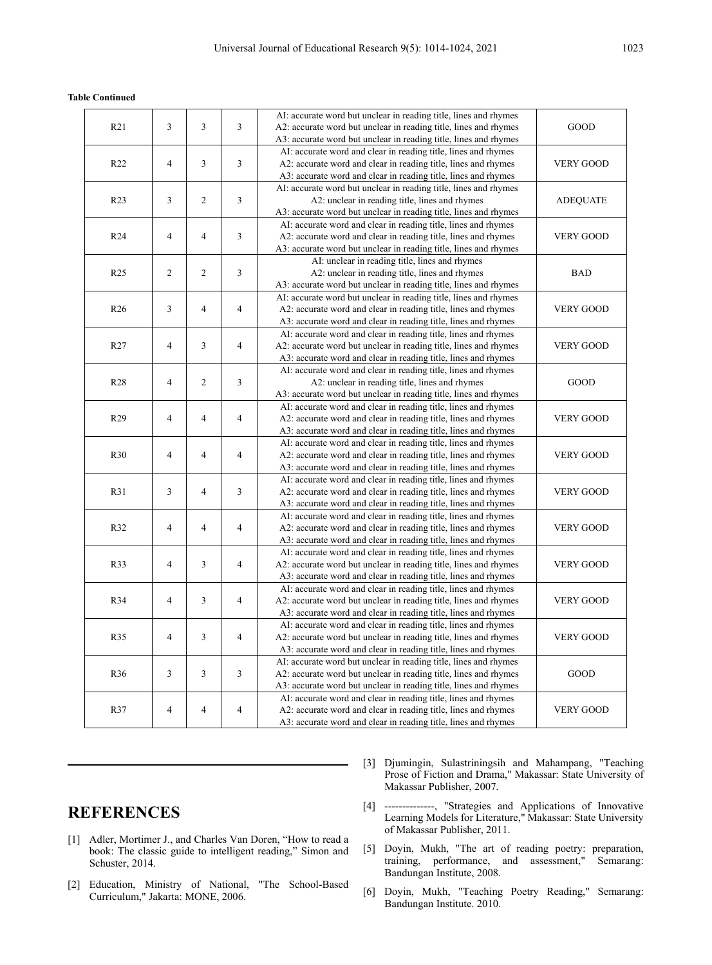#### **Table Continued**

|                 |                |                |                | AI: accurate word but unclear in reading title, lines and rhymes |                  |
|-----------------|----------------|----------------|----------------|------------------------------------------------------------------|------------------|
| R21             | 3              | 3              | 3              | A2: accurate word but unclear in reading title, lines and rhymes | GOOD             |
|                 |                |                |                | A3: accurate word but unclear in reading title, lines and rhymes |                  |
|                 |                |                |                | AI: accurate word and clear in reading title, lines and rhymes   |                  |
| R <sub>22</sub> | $\overline{4}$ | 3              | 3              | A2: accurate word and clear in reading title, lines and rhymes   | <b>VERY GOOD</b> |
|                 |                |                |                | A3: accurate word and clear in reading title, lines and rhymes   |                  |
|                 |                |                |                | AI: accurate word but unclear in reading title, lines and rhymes |                  |
| R <sub>23</sub> | 3              | $\overline{c}$ | 3              | A2: unclear in reading title, lines and rhymes                   | <b>ADEQUATE</b>  |
|                 |                |                |                | A3: accurate word but unclear in reading title, lines and rhymes |                  |
|                 |                |                |                | AI: accurate word and clear in reading title, lines and rhymes   |                  |
| R <sub>24</sub> | $\overline{4}$ | 4              | 3              | A2: accurate word and clear in reading title, lines and rhymes   | <b>VERY GOOD</b> |
|                 |                |                |                | A3: accurate word but unclear in reading title, lines and rhymes |                  |
|                 |                |                |                | AI: unclear in reading title, lines and rhymes                   |                  |
| R <sub>25</sub> | 2              | 2              | 3              | A2: unclear in reading title, lines and rhymes                   | <b>BAD</b>       |
|                 |                |                |                | A3: accurate word but unclear in reading title, lines and rhymes |                  |
|                 |                |                |                | AI: accurate word but unclear in reading title, lines and rhymes |                  |
| R <sub>26</sub> | 3              | $\overline{4}$ | $\overline{4}$ | A2: accurate word and clear in reading title, lines and rhymes   | <b>VERY GOOD</b> |
|                 |                |                |                | A3: accurate word and clear in reading title, lines and rhymes   |                  |
|                 |                |                |                | AI: accurate word and clear in reading title, lines and rhymes   |                  |
| R27             | $\overline{4}$ | 3              | $\overline{4}$ | A2: accurate word but unclear in reading title, lines and rhymes | <b>VERY GOOD</b> |
|                 |                |                |                | A3: accurate word and clear in reading title, lines and rhymes   |                  |
|                 |                |                |                | AI: accurate word and clear in reading title, lines and rhymes   |                  |
| R <sub>28</sub> | $\overline{4}$ | $\overline{c}$ | 3              | A2: unclear in reading title, lines and rhymes                   | GOOD             |
|                 |                |                |                | A3: accurate word but unclear in reading title, lines and rhymes |                  |
|                 |                |                |                | AI: accurate word and clear in reading title, lines and rhymes   |                  |
| R29             | $\overline{4}$ | $\overline{4}$ | $\overline{4}$ | A2: accurate word and clear in reading title, lines and rhymes   | <b>VERY GOOD</b> |
|                 |                |                |                | A3: accurate word and clear in reading title, lines and rhymes   |                  |
|                 |                |                |                | AI: accurate word and clear in reading title, lines and rhymes   |                  |
| <b>R30</b>      | $\overline{4}$ | 4              | $\overline{4}$ | A2: accurate word and clear in reading title, lines and rhymes   | <b>VERY GOOD</b> |
|                 |                |                |                | A3: accurate word and clear in reading title, lines and rhymes   |                  |
|                 |                |                |                | AI: accurate word and clear in reading title, lines and rhymes   |                  |
| R31             | 3              | 4              | 3              | A2: accurate word and clear in reading title, lines and rhymes   | <b>VERY GOOD</b> |
|                 |                |                |                | A3: accurate word and clear in reading title, lines and rhymes   |                  |
|                 |                |                |                | AI: accurate word and clear in reading title, lines and rhymes   |                  |
| R32             | $\overline{4}$ | 4              | $\overline{4}$ | A2: accurate word and clear in reading title, lines and rhymes   | <b>VERY GOOD</b> |
|                 |                |                |                | A3: accurate word and clear in reading title, lines and rhymes   |                  |
|                 |                |                |                | AI: accurate word and clear in reading title, lines and rhymes   |                  |
| R33             | $\overline{4}$ | 3              | $\overline{4}$ | A2: accurate word but unclear in reading title, lines and rhymes | <b>VERY GOOD</b> |
|                 |                |                |                | A3: accurate word and clear in reading title, lines and rhymes   |                  |
|                 |                |                |                | AI: accurate word and clear in reading title, lines and rhymes   |                  |
| R34             | $\overline{4}$ | 3              | $\overline{4}$ | A2: accurate word but unclear in reading title, lines and rhymes | <b>VERY GOOD</b> |
|                 |                |                |                | A3: accurate word and clear in reading title, lines and rhymes   |                  |
|                 |                |                |                | AI: accurate word and clear in reading title, lines and rhymes   |                  |
| R35             | $\overline{4}$ | 3              | $\overline{4}$ | A2: accurate word but unclear in reading title, lines and rhymes | <b>VERY GOOD</b> |
|                 |                |                |                | A3: accurate word and clear in reading title, lines and rhymes   |                  |
|                 |                |                |                | AI: accurate word but unclear in reading title, lines and rhymes |                  |
| R36             | 3              | 3              | 3              | A2: accurate word but unclear in reading title, lines and rhymes | GOOD             |
|                 |                |                |                | A3: accurate word but unclear in reading title, lines and rhymes |                  |
|                 |                |                |                | AI: accurate word and clear in reading title, lines and rhymes   |                  |
| R37             | 4              | 4              | $\overline{4}$ | A2: accurate word and clear in reading title, lines and rhymes   | <b>VERY GOOD</b> |
|                 |                |                |                | A3: accurate word and clear in reading title, lines and rhymes   |                  |
|                 |                |                |                |                                                                  |                  |

## **REFERENCES**

- [1] Adler, Mortimer J., and Charles Van Doren, "How to read a book: The classic guide to intelligent reading," Simon and Schuster, 2014.
- [2] Education, Ministry of National, "The School-Based Curriculum," Jakarta: MONE, 2006.
- [3] Djumingin, Sulastriningsih and Mahampang, "Teaching Prose of Fiction and Drama," Makassar: State University of Makassar Publisher, 2007.
- [4] --------------, "Strategies and Applications of Innovative Learning Models for Literature," Makassar: State University of Makassar Publisher, 2011.
- [5] Doyin, Mukh, "The art of reading poetry: preparation, training, performance, and assessment," Semarang: Bandungan Institute, 2008.
- [6] Doyin, Mukh, "Teaching Poetry Reading," Semarang: Bandungan Institute. 2010.